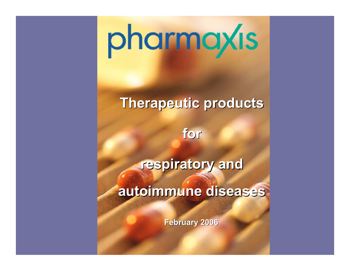# pharmaxis

## **Therapeutic products Therapeutic products**

**for**

**respiratory and** 

**autoimmune diseases autoimmune diseases**

**February 2006 February 2006**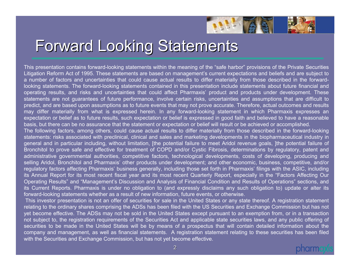

# **Forward Looking Statements**

This presentation contains forward-looking statements within the meaning of the "safe harbor" provisions of the Private Securities Litigation Reform Act of 1995. These statements are based on management's current expectations and beliefs and are subject to a number of factors and uncertainties that could cause actual results to differ materially from those described in the forwardlooking statements. The forward-looking statements contained in this presentation include statements about future financial and operating results, and risks and uncertainties that could affect Pharmaxis' product and products under development. These statements are not guarantees of future performance, involve certain risks, uncertainties and assumptions that are difficult to predict, and are based upon assumptions as to future events that may not prove accurate. Therefore, actual outcomes and results may differ materially from what is expressed herein. In any forward-looking statement in which Pharmaxis expresses an expectation or belief as to future results, such expectation or belief is expressed in good faith and believed to have a reasonable basis, but there can be no assurance that the statement or expectation or belief will result or be achieved or accomplished. The following factors, among others, could cause actual results to differ materially from those described in the forward-looking

statements: risks associated with preclinical, clinical and sales and marketing developments in the biopharmaceutical industry in general and in particular including, without limitation, [the potential failure to meet Aridol revenue goals, ]the potential failure of Bronchitol to prove safe and effective for treatment of COPD and/or Cystic Fibrosis, determinations by regulatory, patent and administrative governmental authorities, competitive factors, technological developments, costs of developing, producing and selling Aridol, Bronchitol and Pharmaxis' other products under development; and other economic, business, competitive, and/or regulatory factors affecting Pharmaxis' business generally, including those set forth in Pharmaxis' filings with the ASIC, including its Annual Report for its most recent fiscal year and its most recent Quarterly Report, especially in the "Factors Affecting Our Operating Results" and "Management's Discussion and Analysis of Financial Condition and Results of Operations" sections, and its Current Reports. Pharmaxis is under no obligation to (and expressly disclaims any such obligation to) update or alter its forward-looking statements whether as a result of new information, future events, or otherwise.

This investor presentation is not an offer of securities for sale in the United States or any state thereof. A registration statement relating to the ordinary shares comprising the ADSs has been filed with the US Securities and Exchange Commission but has not yet become effective. The ADSs may not be sold in the United States except pursuant to an exemption from, or in a transaction not subject to, the registration requirements of the Securities Act and applicable state securities laws, and any public offering of securities to be made in the United States will be by means of a prospectus that will contain detailed information about the company and management, as well as financial statements. A registration statement relating to these securities has been filed with the Securities and Exchange Commission, but has not yet become effective.

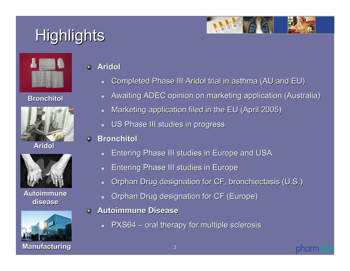# Highlights



#### **Bronchitol Bronchitol**



**Aridol**



**Autoimmune Autoimmune disease disease**



**Aridol**

- $\blacksquare$ Completed Phase III Aridol trial in asthma (AU and EU)
- $\blacksquare$ Awaiting ADEC opinion on marketing application (Australia)
- $\blacksquare$ Marketing application filed in the EU (April 2005) Marketing application filed in the EU (April 2005)
- $\blacksquare$ US Phase III studies in progress
- **Bronchitol Bronchitol**
	- $\blacksquare$ Entering Phase III studies in Europe and USA
	- $\blacksquare$ Entering Phase III studies in Europe Entering Phase III studies in Europe
	- $\blacksquare$ Orphan Drug designation for CF, bronchiectasis (U.S.)

**notin** 

- $\blacksquare$ Orphan Drug designation for CF (Europe)
- **Autoimmune Disease Autoimmune Disease** $\bullet$ 
	- $\blacksquare$  PXS64 oral therapy for multiple sclerosis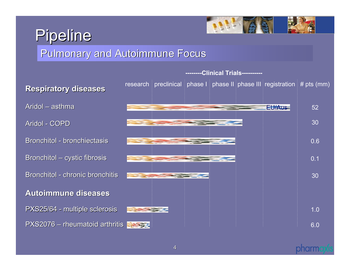# Pipeline



#### Pulmonary and Autoimmune Focus

Aridol – asthma Aridol - COPD Bronchitol - bronchiectasis Bronchitol – cystic fibrosis Bronchitol - chronic bronchitis **Autoimmune diseases Autoimmune diseases** PXS25/64 - multiple sclerosis PXS2076 – rheumatoid arthritis



#### pharm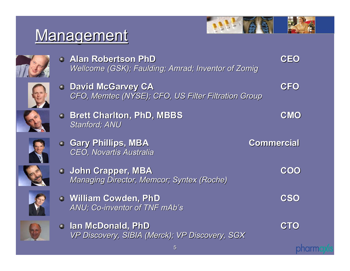# Management



**CEO**



**Alan Robertson PhD Alan Robertson PhD***Wellcome Wellcome (GSK); Faulding; (GSK); Faulding; Amrad; Inventor of ; Inventor of Zomig*



**David McGarvey CA David McGarvey CA CFO** *CFO, Memtec (NYSE); CFO, US Filter Filtration Group CFO, Memtec (NYSE); CFO, US Filter Filtration Group*



**Brett Charlton, PhD, MBBS Brett Charlton, PhD, MBBS CMO** *Stanford; ANU Stanford; ANU*



**Gary Phillips, MBA Gary Phillips, MBA Commercial Commercial** *CEO, Novartis Australia CEO, Novartis Australia*



**John Crapper, MBA John Crapper, MBA COO** *Managing Director, Managing Director, Memcor; Syntex (Roche) (Roche)*



**William Cowden, PhD William Cowden, PhD CSO** ANU; Co-inventor of TNF mAb's



**Ian McDonald, PhD Ian McDonald, PhD CTO** *VP Discovery, SIBIA (Merck); VP Discovery, SGX VP Discovery, SIBIA (Merck); VP Discovery, SGX*

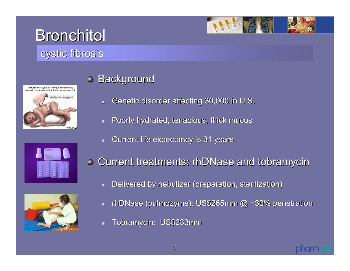

#### cystic fibrosis



#### **Background**

- $\blacksquare$ Genetic disorder affecting 30,000 in U.S.
- $\blacksquare$ Poorly hydrated, tenacious, thick mucus
- $\blacksquare$ Current life expectancy is 31 years





- Current treatments: rhDNase and tobramycin
	- $\blacksquare$ Delivered by nebulizer (preparation, sterilization)
	- $\blacksquare$ - rhDNase (pulmozyme): US\$265mm @ ~30% penetration
	- $\blacksquare$ Tobramycin: US\$233mm

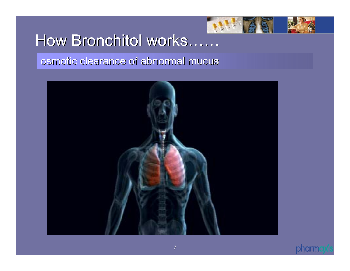

# How Bronchitol works……

#### osmotic clearance of abnormal mucus osmotic clearance of abnormal mucus



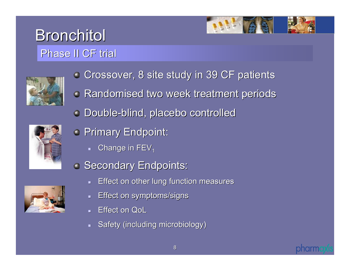# **Bronchitol** Phase II CF trial





- **Crossover, 8 site study in 39 CF patients**
- **Randomised two week treatment periods**
- Double-blind, placebo controlled blind, placebo controlled



- **Primary Endpoint:** 
	- $\blacksquare$  Change in FEV $_1$
- **Secondary Endpoints:** 
	- ┓ Effect on other lung function measures
	- ┙ Effect on symptoms/signs Effect on symptoms/signs
	- ┙ Effect on QoL
	- Safety (including microbiology)



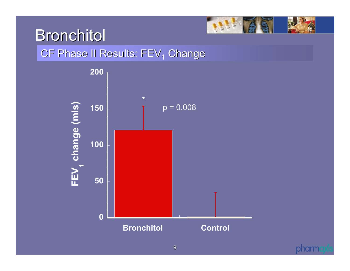

#### CF Phase II Results: FEV $_{\rm 1}$  Change



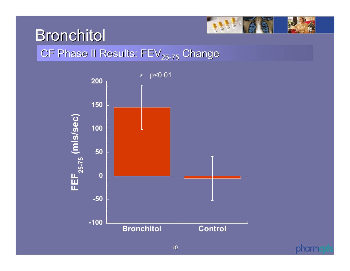

### CF Phase II Results: FEV $_{\rm 25\text{-}75}$  Change



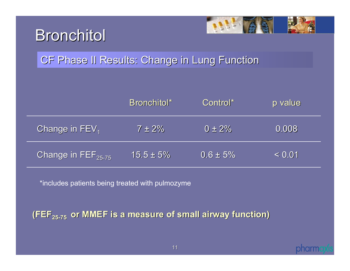



#### CF Phase II Results: Change in Lung Function

|                                         | Bronchitol*    | Control*      | p value |
|-----------------------------------------|----------------|---------------|---------|
| Change in FEV <sub>1</sub>              | $7 \pm 2\%$    | $0 \pm 2\%$   | 0.008   |
| Change in $\mathsf{FEF}_{25\text{-}75}$ | $15.5 \pm 5\%$ | $0.6 \pm 5\%$ | < 0.01  |

\*includes patients being treated with pulmozyme

**(FEF<sub>25-75</sub> or MMEF is a measure of small airway function)** 

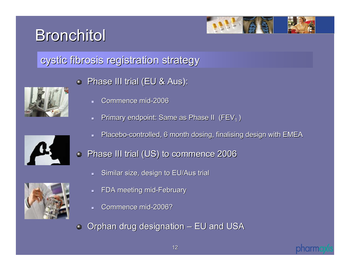

### cystic fibrosis registration strategy cystic fibrosis registration strategy







- Phase III trial (EU & Aus):  $\bullet$ 
	- ▉ Commence mid-2006
	- $\blacksquare$ Primary endpoint: Same as Phase II ( $FEV<sub>1</sub>$ )
	- $\blacksquare$ Placebo-controlled, 6 month dosing, finalising design with EMEA
- Phase III trial (US) to commence 2006 0
	- $\blacksquare$ Similar size, design to EU/Aus trial
	- FDA meeting mid-February
	- ▉ Commence mid-2006?

Orphan drug designation – EU and USA  $\bullet$ 

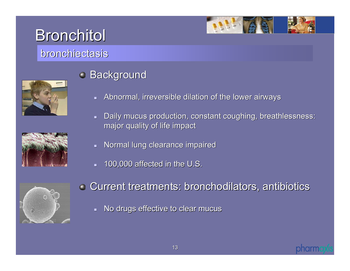

#### bronchiectasis





#### **Background**

- $\blacksquare$ Abnormal, irreversible dilation of the lower airways
- $\blacksquare$ Daily mucus production, constant coughing, breathlessness: major quality of life impact
- $\blacksquare$ Normal lung clearance impaired
- $\blacksquare$ 100,000 affected in the U.S.



- Current treatments: bronchodilators, antibiotics Current treatments: bronchodilators, antibiotics
	- $\blacksquare$ No drugs effective to clear mucus

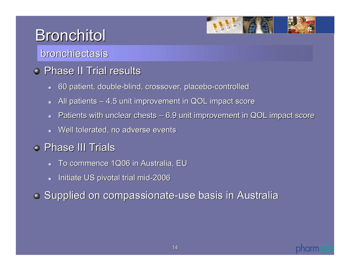

#### bronchiectasis

#### Phase II Trial results

- $\blacksquare$ 60 patient, double-blind, crossover, placebo-controlled
- $\blacksquare$ All patients – 4.5 unit improvement in QOL impact score
- $\blacksquare$ Patients with unclear chests – 6.9 unit improvement in QOL impact score
- $\blacksquare$ Well tolerated, no adverse events

### Phase III Trials

- $\blacksquare$ To commence 1Q06 in Australia, EU
- $\blacksquare$ Initiate US pivotal trial mid-2006

**Supplied on compassionate-use basis in Australia** 

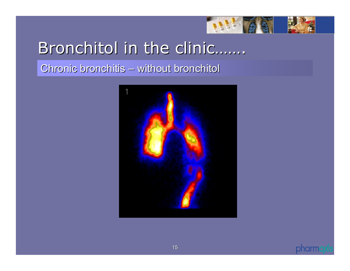

# Bronchitol in the clinic…….

Chronic bronchitis – without bronchitol



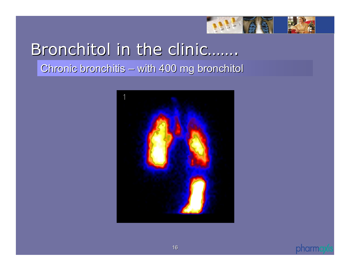

# Bronchitol in the clinic…….

Chronic bronchitis – with 400 mg bronchitol



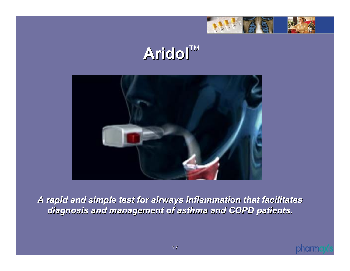

# **Aridol**TM



*A rapid and simple test for airways inflammation that facilitate A rapid and simple test for airways inflammation that facilitates diagnosis and management of diagnosis and management of asthma and COPD patients. asthma and COPD patients.*

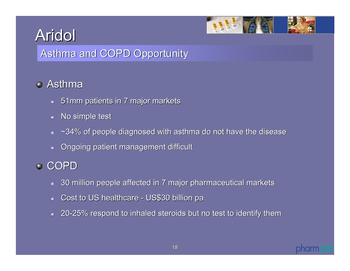

### Asthma and COPD Opportunity

### Asthma

- $\,$   $\,$  51mm patients in 7 major markets
- $\blacksquare$ No simple test
- $\blacksquare$  $\sim$ 34% of people diagnosed with asthma do not have the disease
- $\blacksquare$ Ongoing patient management difficult

#### COPD

- $\blacksquare$ 30 million people affected in 7 major pharmaceutical markets 30 million people affected in 7 major pharmaceutical markets
- $\blacksquare$ Cost to US healthcare - US\$30 billion pa
- $\blacksquare$ 20-25% respond to inhaled steroids but no test to identify them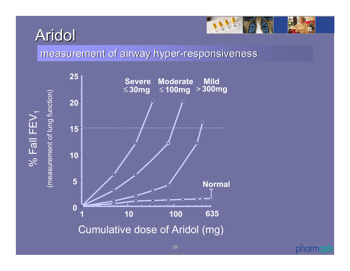$\%$  Fall FEV  $\%$  Fall FEV<sub>1</sub>



measurement of airway hyper-responsiveness



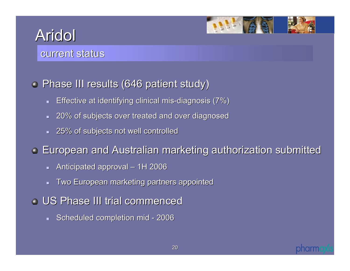

#### current status

#### **• Phase III results (646 patient study)**

- $\blacksquare$ Effective at identifying clinical mis-diagnosis (7%)
- $\mathbf{r}$  . 20% of subjects over treated and over diagnosed 20% of subjects over treated and over diagnosed
- $-$  25% of subjects not well controlled

**European and Australian marketing authorization submitted European and Australian marketing authorization submitted** 

- $\blacksquare$ Anticipated approval – 1H 2006
- $\blacksquare$ Two European marketing partners appointed
- US Phase III trial commenced
	- $\blacksquare$ Scheduled completion mid - 2006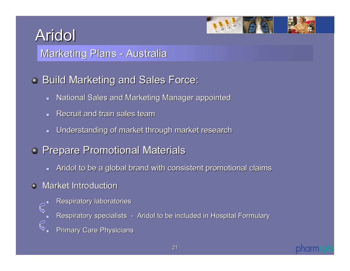Marketing Plans - Australia

### **Build Marketing and Sales Force:**

- $\blacksquare$  National Sales and Marketing Manager appointed
- $\blacksquare$ Recruit and train sales team
- $\blacksquare$ Understanding of market through market research Understanding of market through market research
- **Prepare Promotional Materials** 
	- $\blacksquare$  Aridol to be a global brand with consistent promotional claims
- Market Introduction  $\bullet$ 
	- **Respiratory laboratories**
	- $\mathcal{C}$ ▉ Respiratory specialists - Aridol to be included in Hospital Formulary
		- $\mathbb{C}$ **Primary Care Physicians**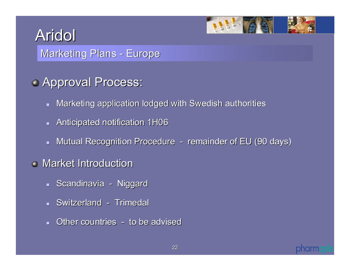Marketing Plans - Europe

## **Approval Process:**

- $\blacksquare$  Marketing application lodged with Swedish authorities
- $\blacksquare$  Anticipated notification 1H06
- $\blacksquare$  Mutual Recognition Procedure  $\hspace{0.1mm}\text{-}\hspace{0.1mm}$  remainder of EU (90 days)
- Market Introduction
	- Scandinavia Niggard
	- Switzerland Trimedal
	- $\blacksquare$  Other countries  $\lightharpoonup$  to be advised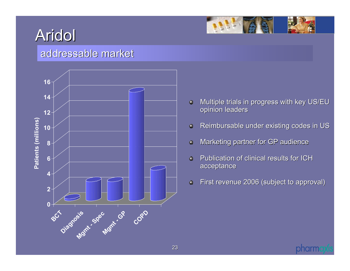

#### addressable market



- Multiple trials in progress with key US/EU  $\bullet$ opinion leaders
- Reimbursable under existing codes in US  $\bullet$
- Marketing partner for GP audience  $\ddot{\mathbf{Q}}$
- Ō. Publication of clinical results for ICH acceptance
- First revenue 2006 (subject to approval)  $\ddot{\mathbf{Q}}$

pharm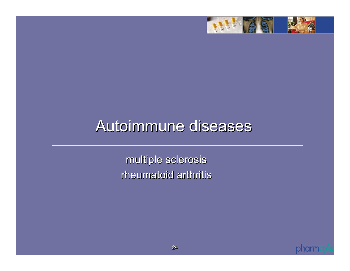

# Autoimmune diseases

multiple sclerosis multiple sclerosis rheumatoid arthritis

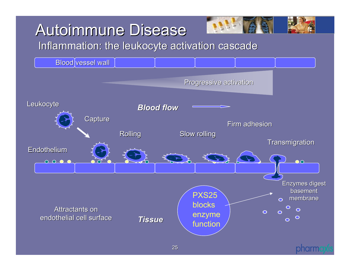# **Autoimmune Disease**

Inflammation: the leukocyte activation cascade

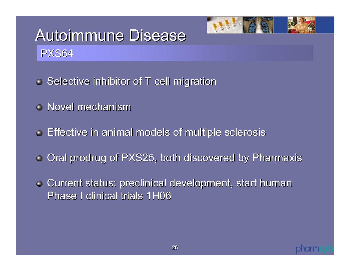

# **Autoimmune Disease** PXS64

- $\bullet$  Selective inhibitor of T cell migration
- Novel mechanism
- Effective in animal models of multiple sclerosis Effective in animal models of multiple sclerosis
- Oral prodrug of PXS25, both discovered by Pharmaxis
- **Current status: preclinical development, start human** Phase I clinical trials 1H06

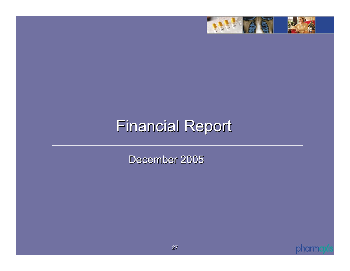

# **Financial Report**

December 2005

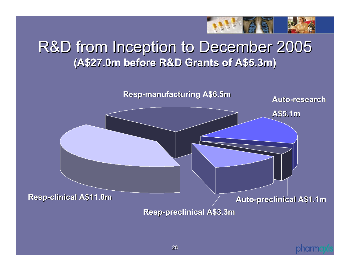

## R&D from Inception to December 2005 R&D from Inception to December 2005 **(A\$27.0m before R&D Grants of A\$5.3m) (A\$27.0m before R&D Grants of A\$5.3m)**



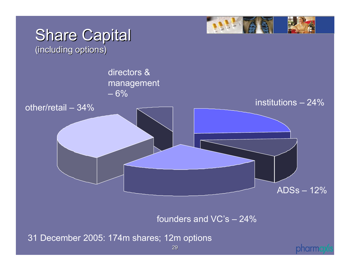

founders and VC's – 24%

31 December 2005: 174m shares; 12m options

#### pharm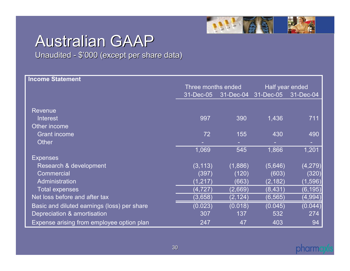

# Australian GAAP

Unaudited - \$'000 (except per share data)

| <b>Income Statement</b>                     |                    |           |                 |           |
|---------------------------------------------|--------------------|-----------|-----------------|-----------|
|                                             | Three months ended |           | Half year ended |           |
|                                             | $31$ -Dec-05       | 31-Dec-04 | 31-Dec-05       | 31-Dec-04 |
|                                             |                    |           |                 |           |
| Revenue                                     |                    |           |                 |           |
| <b>Interest</b>                             | 997                | 390       | 1,436           | 711       |
| Other income                                |                    |           |                 |           |
| <b>Grant income</b>                         | 72                 | 155       | 430             | 490       |
| <b>Other</b>                                |                    |           |                 |           |
|                                             | 1,069              | 545       | 1,866           | 1,201     |
| <b>Expenses</b>                             |                    |           |                 |           |
| Research & development                      | (3, 113)           | (1,886)   | (5,646)         | (4, 279)  |
| <b>Commercial</b>                           | (397)              | (120)     | (603)           | (320)     |
| Administration                              | (1, 217)           | (663)     | (2, 182)        | (1,596)   |
| <b>Total expenses</b>                       | (4, 727)           | (2,669)   | (8, 431)        | (6, 195)  |
| Net loss before and after tax               | (3,658)            | (2, 124)  | (6, 565)        | (4,994)   |
| Basic and diluted earnings (loss) per share | (0.023)            | (0.018)   | (0.045)         | (0.044)   |
| Depreciation & amortisation                 | 307                | 137       | 532             | 274       |
| Expense arising from employee option plan   | 247                | 47        | 403             | 94        |

#### pharm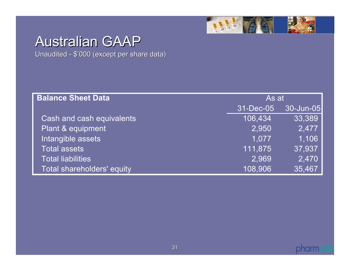

# Australian GAAP

Unaudited - \$'000 (except per share data)

| <b>Balance Sheet Data</b>  | As at     |           |  |
|----------------------------|-----------|-----------|--|
|                            | 31-Dec-05 | 30-Jun-05 |  |
| Cash and cash equivalents  | 106,434   | 33,389    |  |
| Plant & equipment          | 2,950     | 2,477     |  |
| Intangible assets          | 1.077     | 1,106     |  |
| <b>Total assets</b>        | 111,875   | 37,937    |  |
| <b>Total liabilities</b>   | 2,969     | 2,470     |  |
| Total shareholders' equity | 108,906   | 35,467    |  |

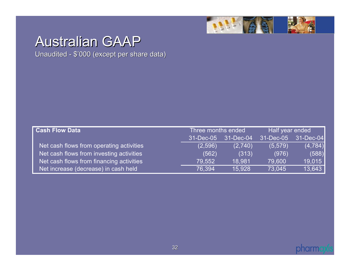

# Australian GAAP

Unaudited - \$'000 (except per share data)

| <b>Cash Flow Data</b>                    | Three months ended |           | Half year ended |           |
|------------------------------------------|--------------------|-----------|-----------------|-----------|
|                                          | 31-Dec-05          | 31-Dec-04 | 31-Dec-05       | 31-Dec-04 |
| Net cash flows from operating activities | (2,596)            | (2.740)   | (5,579)         | (4, 784)  |
| Net cash flows from investing activities | (562)              | (313)     | (976)           | (588)     |
| Net cash flows from financing activities | 79.552             | 18.981    | 79,600          | 19,015    |
| Net increase (decrease) in cash held     | 76.394             | 15,928    | 73.045          | 13,643    |